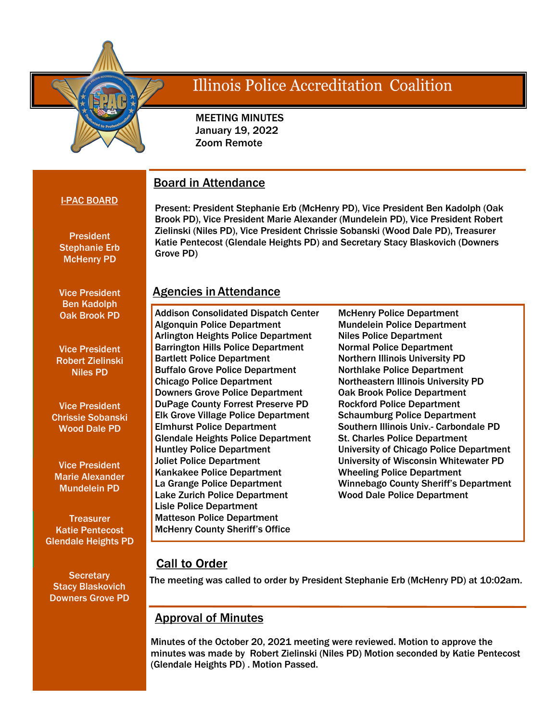

# Illinois Police Accreditation Coalition

 MEETING MINUTES January 19, 2022 Zoom Remote

## I-PAC BOARD

**President** Stephanie Erb McHenry PD

Vice President Ben Kadolph Oak Brook PD

Vice President Robert Zielinski Niles PD

Vice President Chrissie Sobanski Wood Dale PD

Vice President Marie Alexander Mundelein PD

**Treasurer** Katie Pentecost Glendale Heights PD

**Secretary** Stacy Blaskovich Downers Grove PD Present: President Stephanie Erb (McHenry PD), Vice President Ben Kadolph (Oak Brook PD), Vice President Marie Alexander (Mundelein PD), Vice President Robert Zielinski (Niles PD), Vice President Chrissie Sobanski (Wood Dale PD), Treasurer Katie Pentecost (Glendale Heights PD) and Secretary Stacy Blaskovich (Downers Grove PD)

## Agencies in Attendance

Board in Attendance

Addison Consolidated Dispatch Center Algonquin Police Department Arlington Heights Police Department Barrington Hills Police Department Bartlett Police Department Buffalo Grove Police Department Chicago Police Department Downers Grove Police Department DuPage County Forrest Preserve PD Elk Grove Village Police Department Elmhurst Police Department Glendale Heights Police Department Huntley Police Department Joliet Police Department Kankakee Police Department La Grange Police Department Lake Zurich Police Department Lisle Police Department Matteson Police Department McHenry County Sheriff's Office

McHenry Police Department Mundelein Police Department Niles Police Department Normal Police Department Northern Illinois University PD Northlake Police Department Northeastern Illinois University PD Oak Brook Police Department Rockford Police Department Schaumburg Police Department Southern Illinois Univ.- Carbondale PD St. Charles Police Department University of Chicago Police Department University of Wisconsin Whitewater PD Wheeling Police Department Winnebago County Sheriff's Department Wood Dale Police Department

## **Call to Order**

The meeting was called to order by President Stephanie Erb (McHenry PD) at 10:02am.

## Approval of Minutes

Minutes of the October 20, 2021 meeting were reviewed. Motion to approve the minutes was made by Robert Zielinski (Niles PD) Motion seconded by Katie Pentecost (Glendale Heights PD) . Motion Passed.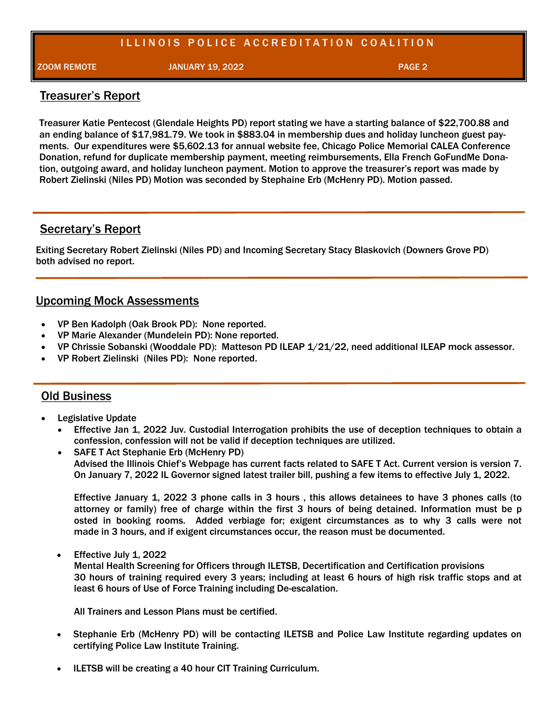## ILLINOIS POLICE ACCREDITATION COALITION

ZOOM REMOTE JANUARY 19, 2022 PAGE 2

## Treasurer's Report

Treasurer Katie Pentecost (Glendale Heights PD) report stating we have a starting balance of \$22,700.88 and an ending balance of \$17,981.79. We took in \$883.04 in membership dues and holiday luncheon guest payments. Our expenditures were \$5,602.13 for annual website fee, Chicago Police Memorial CALEA Conference Donation, refund for duplicate membership payment, meeting reimbursements, Ella French GoFundMe Donation, outgoing award, and holiday luncheon payment. Motion to approve the treasurer's report was made by Robert Zielinski (Niles PD) Motion was seconded by Stephaine Erb (McHenry PD). Motion passed.

## Secretary's Report

Exiting Secretary Robert Zielinski (Niles PD) and Incoming Secretary Stacy Blaskovich (Downers Grove PD) both advised no report.

## Upcoming Mock Assessments

- VP Ben Kadolph (Oak Brook PD): None reported.
- VP Marie Alexander (Mundelein PD): None reported.
- VP Chrissie Sobanski (Wooddale PD): Matteson PD ILEAP 1/21/22, need additional ILEAP mock assessor.
- VP Robert Zielinski (Niles PD): None reported.

### Old Business

- Legislative Update
	- Effective Jan 1, 2022 Juv. Custodial Interrogation prohibits the use of deception techniques to obtain a confession, confession will not be valid if deception techniques are utilized.
	- SAFE T Act Stephanie Erb (McHenry PD) Advised the Illinois Chief's Webpage has current facts related to SAFE T Act. Current version is version 7. On January 7, 2022 IL Governor signed latest trailer bill, pushing a few items to effective July 1, 2022.

Effective January 1, 2022 3 phone calls in 3 hours , this allows detainees to have 3 phones calls (to attorney or family) free of charge within the first 3 hours of being detained. Information must be p osted in booking rooms. Added verbiage for; exigent circumstances as to why 3 calls were not made in 3 hours, and if exigent circumstances occur, the reason must be documented.

• Effective July 1, 2022

Mental Health Screening for Officers through ILETSB, Decertification and Certification provisions 30 hours of training required every 3 years; including at least 6 hours of high risk traffic stops and at least 6 hours of Use of Force Training including De-escalation.

All Trainers and Lesson Plans must be certified.

- Stephanie Erb (McHenry PD) will be contacting ILETSB and Police Law Institute regarding updates on certifying Police Law Institute Training.
- ILETSB will be creating a 40 hour CIT Training Curriculum.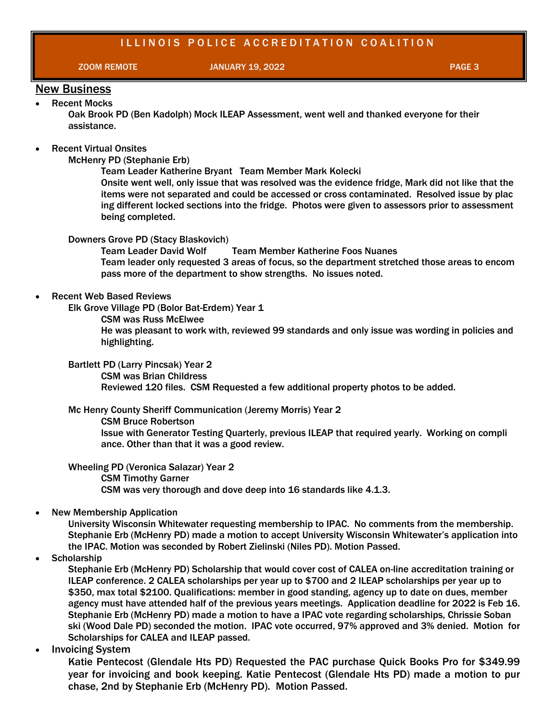## ILLINOIS POLICE ACCREDITATION COALITION

ZOOM REMOTE JANUARY 19, 2022 PAGE 3

#### New Business Recent Mocks

Oak Brook PD (Ben Kadolph) Mock ILEAP Assessment, went well and thanked everyone for their assistance.

#### Recent Virtual Onsites

McHenry PD (Stephanie Erb)

Team Leader Katherine Bryant Team Member Mark Kolecki

Onsite went well, only issue that was resolved was the evidence fridge, Mark did not like that the items were not separated and could be accessed or cross contaminated. Resolved issue by plac ing different locked sections into the fridge. Photos were given to assessors prior to assessment being completed.

#### Downers Grove PD (Stacy Blaskovich)

Team Leader David Wolf Team Member Katherine Foos Nuanes Team leader only requested 3 areas of focus, so the department stretched those areas to encom pass more of the department to show strengths. No issues noted.

#### Recent Web Based Reviews

Elk Grove Village PD (Bolor Bat-Erdem) Year 1

CSM was Russ McElwee

He was pleasant to work with, reviewed 99 standards and only issue was wording in policies and highlighting.

Bartlett PD (Larry Pincsak) Year 2

CSM was Brian Childress

Reviewed 120 files. CSM Requested a few additional property photos to be added.

#### Mc Henry County Sheriff Communication (Jeremy Morris) Year 2

CSM Bruce Robertson

Issue with Generator Testing Quarterly, previous ILEAP that required yearly. Working on compli ance. Other than that it was a good review.

Wheeling PD (Veronica Salazar) Year 2

CSM Timothy Garner

CSM was very thorough and dove deep into 16 standards like 4.1.3.

#### New Membership Application

University Wisconsin Whitewater requesting membership to IPAC. No comments from the membership. Stephanie Erb (McHenry PD) made a motion to accept University Wisconsin Whitewater's application into the IPAC. Motion was seconded by Robert Zielinski (Niles PD). Motion Passed.

**Scholarship** 

Stephanie Erb (McHenry PD) Scholarship that would cover cost of CALEA on-line accreditation training or ILEAP conference. 2 CALEA scholarships per year up to \$700 and 2 ILEAP scholarships per year up to \$350, max total \$2100. Qualifications: member in good standing, agency up to date on dues, member agency must have attended half of the previous years meetings. Application deadline for 2022 is Feb 16. Stephanie Erb (McHenry PD) made a motion to have a IPAC vote regarding scholarships, Chrissie Soban ski (Wood Dale PD) seconded the motion. IPAC vote occurred, 97% approved and 3% denied. Motion for Scholarships for CALEA and ILEAP passed.

Invoicing System

Katie Pentecost (Glendale Hts PD) Requested the PAC purchase Quick Books Pro for \$349.99 year for invoicing and book keeping. Katie Pentecost (Glendale Hts PD) made a motion to pur chase, 2nd by Stephanie Erb (McHenry PD). Motion Passed.